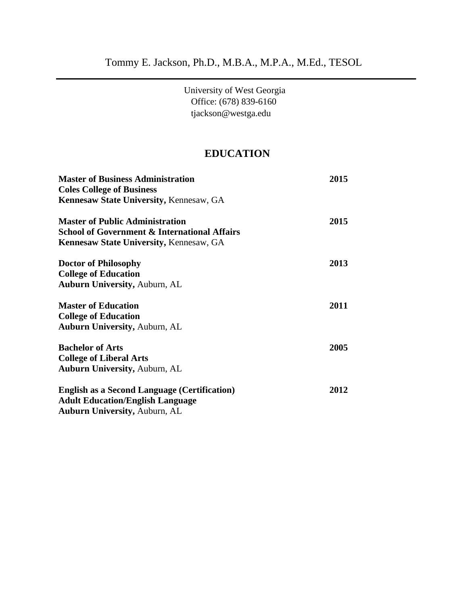University of West Georgia Office: (678) 839-6160 tjackson@westga.edu

# **EDUCATION**

| <b>Master of Business Administration</b><br><b>Coles College of Business</b><br>Kennesaw State University, Kennesaw, GA | 2015 |                                                         |      |
|-------------------------------------------------------------------------------------------------------------------------|------|---------------------------------------------------------|------|
|                                                                                                                         |      | <b>Master of Public Administration</b>                  | 2015 |
|                                                                                                                         |      | <b>School of Government &amp; International Affairs</b> |      |
| <b>Kennesaw State University, Kennesaw, GA</b>                                                                          |      |                                                         |      |
| <b>Doctor of Philosophy</b>                                                                                             | 2013 |                                                         |      |
| <b>College of Education</b>                                                                                             |      |                                                         |      |
| <b>Auburn University, Auburn, AL</b>                                                                                    |      |                                                         |      |
| <b>Master of Education</b>                                                                                              | 2011 |                                                         |      |
| <b>College of Education</b>                                                                                             |      |                                                         |      |
| <b>Auburn University, Auburn, AL</b>                                                                                    |      |                                                         |      |
| <b>Bachelor of Arts</b>                                                                                                 | 2005 |                                                         |      |
| <b>College of Liberal Arts</b>                                                                                          |      |                                                         |      |
| <b>Auburn University, Auburn, AL</b>                                                                                    |      |                                                         |      |
| <b>English as a Second Language (Certification)</b>                                                                     | 2012 |                                                         |      |
| <b>Adult Education/English Language</b>                                                                                 |      |                                                         |      |
| <b>Auburn University, Auburn, AL</b>                                                                                    |      |                                                         |      |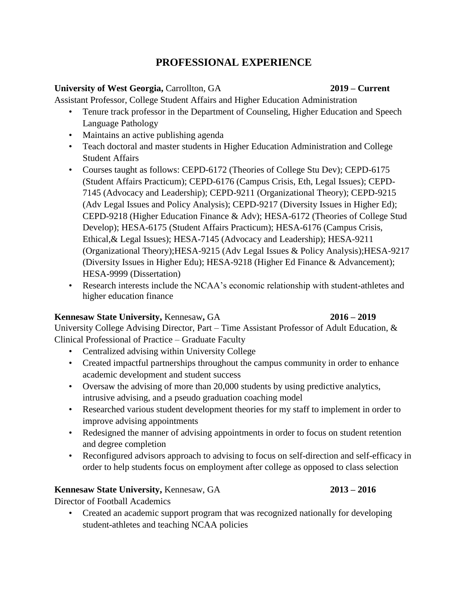# **PROFESSIONAL EXPERIENCE**

## **University of West Georgia,** Carrollton, GA **2019 – Current**

Assistant Professor, College Student Affairs and Higher Education Administration

- Tenure track professor in the Department of Counseling, Higher Education and Speech Language Pathology
- Maintains an active publishing agenda
- Teach doctoral and master students in Higher Education Administration and College Student Affairs
- Courses taught as follows: CEPD-6172 (Theories of College Stu Dev); CEPD-6175 (Student Affairs Practicum); CEPD-6176 (Campus Crisis, Eth, Legal Issues); CEPD-7145 (Advocacy and Leadership); CEPD-9211 (Organizational Theory); CEPD-9215 (Adv Legal Issues and Policy Analysis); CEPD-9217 (Diversity Issues in Higher Ed); CEPD-9218 (Higher Education Finance & Adv); HESA-6172 (Theories of College Stud Develop); HESA-6175 (Student Affairs Practicum); HESA-6176 (Campus Crisis, Ethical,& Legal Issues); HESA-7145 (Advocacy and Leadership); HESA-9211 (Organizational Theory);HESA-9215 (Adv Legal Issues & Policy Analysis);HESA-9217 (Diversity Issues in Higher Edu); HESA-9218 (Higher Ed Finance & Advancement); HESA-9999 (Dissertation)
- Research interests include the NCAA's economic relationship with student-athletes and higher education finance

## **Kennesaw State University,** Kennesaw**,** GA **2016 – 2019**

University College Advising Director, Part – Time Assistant Professor of Adult Education, & Clinical Professional of Practice – Graduate Faculty

- Centralized advising within University College
- Created impactful partnerships throughout the campus community in order to enhance academic development and student success
- Oversaw the advising of more than 20,000 students by using predictive analytics, intrusive advising, and a pseudo graduation coaching model
- Researched various student development theories for my staff to implement in order to improve advising appointments
- Redesigned the manner of advising appointments in order to focus on student retention and degree completion
- Reconfigured advisors approach to advising to focus on self-direction and self-efficacy in order to help students focus on employment after college as opposed to class selection

# **Kennesaw State University,** Kennesaw, GA **2013 – 2016**

Director of Football Academics

• Created an academic support program that was recognized nationally for developing student-athletes and teaching NCAA policies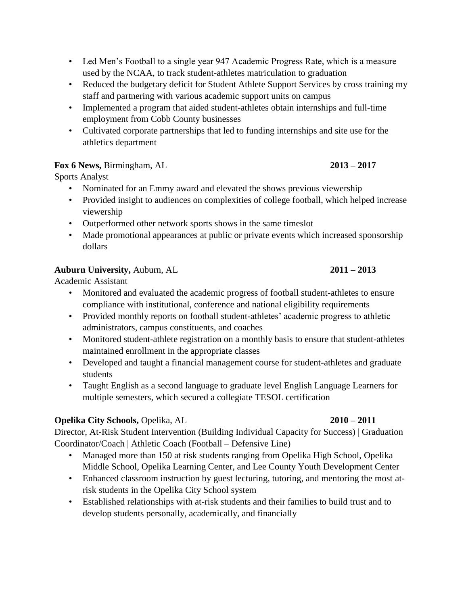- Led Men's Football to a single year 947 Academic Progress Rate, which is a measure used by the NCAA, to track student-athletes matriculation to graduation
- Reduced the budgetary deficit for Student Athlete Support Services by cross training my staff and partnering with various academic support units on campus
- Implemented a program that aided student-athletes obtain internships and full-time employment from Cobb County businesses
- Cultivated corporate partnerships that led to funding internships and site use for the athletics department

## **Fox 6 News,** Birmingham, AL **2013 – 2017**

# Sports Analyst

- Nominated for an Emmy award and elevated the shows previous viewership
- Provided insight to audiences on complexities of college football, which helped increase viewership
- Outperformed other network sports shows in the same timeslot
- Made promotional appearances at public or private events which increased sponsorship dollars

## **Auburn University,** Auburn, AL **2011 – 2013**

Academic Assistant

- Monitored and evaluated the academic progress of football student-athletes to ensure compliance with institutional, conference and national eligibility requirements
- Provided monthly reports on football student-athletes' academic progress to athletic administrators, campus constituents, and coaches
- Monitored student-athlete registration on a monthly basis to ensure that student-athletes maintained enrollment in the appropriate classes
- Developed and taught a financial management course for student-athletes and graduate students
- Taught English as a second language to graduate level English Language Learners for multiple semesters, which secured a collegiate TESOL certification

# **Opelika City Schools,** Opelika, AL **2010 – 2011**

Director, At-Risk Student Intervention (Building Individual Capacity for Success) | Graduation Coordinator/Coach | Athletic Coach (Football – Defensive Line)

- Managed more than 150 at risk students ranging from Opelika High School, Opelika Middle School, Opelika Learning Center, and Lee County Youth Development Center
- Enhanced classroom instruction by guest lecturing, tutoring, and mentoring the most atrisk students in the Opelika City School system
- Established relationships with at-risk students and their families to build trust and to develop students personally, academically, and financially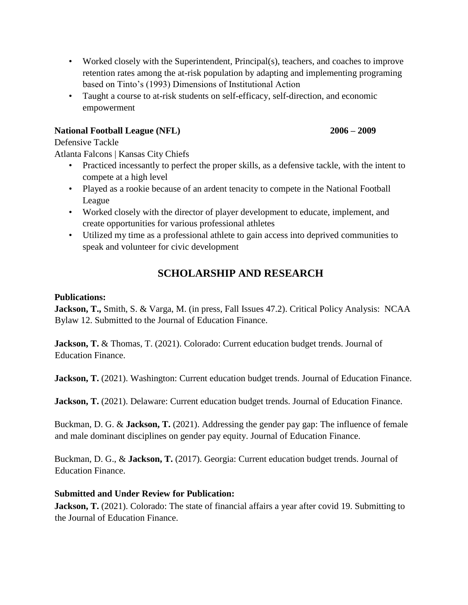- Worked closely with the Superintendent, Principal(s), teachers, and coaches to improve retention rates among the at-risk population by adapting and implementing programing based on Tinto's (1993) Dimensions of Institutional Action
- Taught a course to at-risk students on self-efficacy, self-direction, and economic empowerment

# **National Football League (NFL) 2006 – 2009**

Defensive Tackle

Atlanta Falcons | Kansas City Chiefs

- Practiced incessantly to perfect the proper skills, as a defensive tackle, with the intent to compete at a high level
- Played as a rookie because of an ardent tenacity to compete in the National Football League
- Worked closely with the director of player development to educate, implement, and create opportunities for various professional athletes
- Utilized my time as a professional athlete to gain access into deprived communities to speak and volunteer for civic development

# **SCHOLARSHIP AND RESEARCH**

# **Publications:**

**Jackson, T.,** Smith, S. & Varga, M. (in press, Fall Issues 47.2). Critical Policy Analysis: NCAA Bylaw 12. Submitted to the Journal of Education Finance.

**Jackson, T.** & Thomas, T. (2021). Colorado: Current education budget trends. Journal of Education Finance.

**Jackson, T.** (2021). Washington: Current education budget trends. Journal of Education Finance.

Jackson, T. (2021). Delaware: Current education budget trends. Journal of Education Finance.

Buckman, D. G. & **Jackson, T.** (2021). Addressing the gender pay gap: The influence of female and male dominant disciplines on gender pay equity. Journal of Education Finance.

Buckman, D. G., & **Jackson, T.** (2017). Georgia: Current education budget trends. Journal of Education Finance.

# **Submitted and Under Review for Publication:**

**Jackson, T.** (2021). Colorado: The state of financial affairs a year after covid 19. Submitting to the Journal of Education Finance.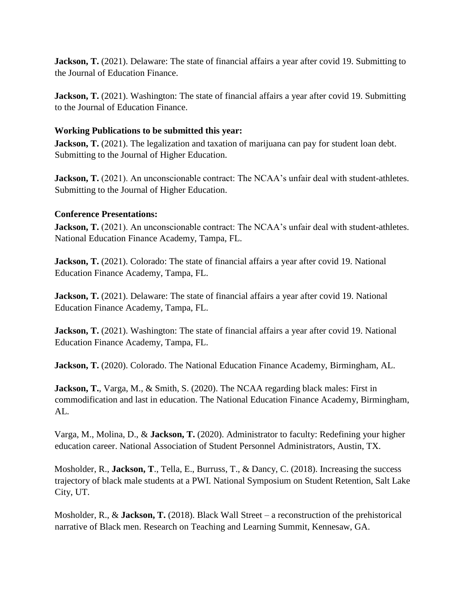**Jackson, T.** (2021). Delaware: The state of financial affairs a year after covid 19. Submitting to the Journal of Education Finance.

**Jackson, T.** (2021). Washington: The state of financial affairs a year after covid 19. Submitting to the Journal of Education Finance.

## **Working Publications to be submitted this year:**

**Jackson, T.** (2021). The legalization and taxation of marijuana can pay for student loan debt. Submitting to the Journal of Higher Education.

**Jackson, T.** (2021). An unconscionable contract: The NCAA's unfair deal with student-athletes. Submitting to the Journal of Higher Education.

## **Conference Presentations:**

**Jackson, T.** (2021). An unconscionable contract: The NCAA's unfair deal with student-athletes. National Education Finance Academy, Tampa, FL.

**Jackson, T.** (2021). Colorado: The state of financial affairs a year after covid 19. National Education Finance Academy, Tampa, FL.

**Jackson, T.** (2021). Delaware: The state of financial affairs a year after covid 19. National Education Finance Academy, Tampa, FL.

**Jackson, T.** (2021). Washington: The state of financial affairs a year after covid 19. National Education Finance Academy, Tampa, FL.

Jackson, T. (2020). Colorado. The National Education Finance Academy, Birmingham, AL.

**Jackson, T.,** Varga, M., & Smith, S. (2020). The NCAA regarding black males: First in commodification and last in education. The National Education Finance Academy, Birmingham, AL.

Varga, M., Molina, D., & **Jackson, T.** (2020). Administrator to faculty: Redefining your higher education career. National Association of Student Personnel Administrators, Austin, TX.

Mosholder, R., **Jackson, T**., Tella, E., Burruss, T., & Dancy, C. (2018). Increasing the success trajectory of black male students at a PWI. National Symposium on Student Retention, Salt Lake City, UT.

Mosholder, R., & **Jackson, T.** (2018). Black Wall Street – a reconstruction of the prehistorical narrative of Black men. Research on Teaching and Learning Summit, Kennesaw, GA.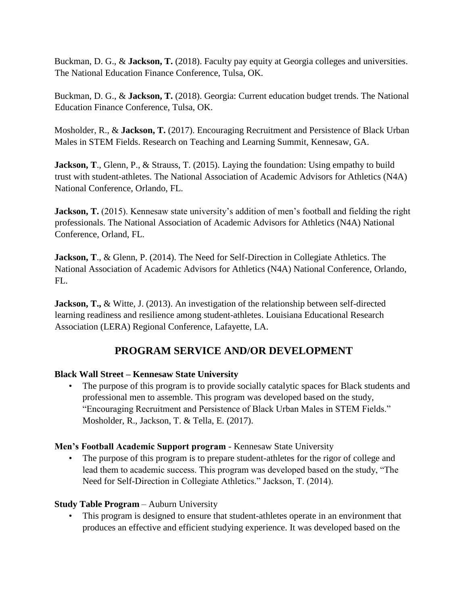Buckman, D. G., & **Jackson, T.** (2018). Faculty pay equity at Georgia colleges and universities. The National Education Finance Conference, Tulsa, OK.

Buckman, D. G., & **Jackson, T.** (2018). Georgia: Current education budget trends. The National Education Finance Conference, Tulsa, OK.

Mosholder, R., & **Jackson, T.** (2017). Encouraging Recruitment and Persistence of Black Urban Males in STEM Fields. Research on Teaching and Learning Summit, Kennesaw, GA.

**Jackson, T., Glenn, P., & Strauss, T. (2015).** Laying the foundation: Using empathy to build trust with student-athletes. The National Association of Academic Advisors for Athletics (N4A) National Conference, Orlando, FL.

**Jackson, T.** (2015). Kennesaw state university's addition of men's football and fielding the right professionals. The National Association of Academic Advisors for Athletics (N4A) National Conference, Orland, FL.

**Jackson, T., & Glenn, P. (2014). The Need for Self-Direction in Collegiate Athletics. The** National Association of Academic Advisors for Athletics (N4A) National Conference, Orlando, FL.

**Jackson, T., & Witte, J. (2013). An investigation of the relationship between self-directed** learning readiness and resilience among student-athletes. Louisiana Educational Research Association (LERA) Regional Conference, Lafayette, LA.

# **PROGRAM SERVICE AND/OR DEVELOPMENT**

## **Black Wall Street – Kennesaw State University**

• The purpose of this program is to provide socially catalytic spaces for Black students and professional men to assemble. This program was developed based on the study, "Encouraging Recruitment and Persistence of Black Urban Males in STEM Fields." Mosholder, R., Jackson, T. & Tella, E. (2017).

## **Men's Football Academic Support program** - Kennesaw State University

• The purpose of this program is to prepare student-athletes for the rigor of college and lead them to academic success. This program was developed based on the study, "The Need for Self-Direction in Collegiate Athletics." Jackson, T. (2014).

## **Study Table Program** – Auburn University

• This program is designed to ensure that student-athletes operate in an environment that produces an effective and efficient studying experience. It was developed based on the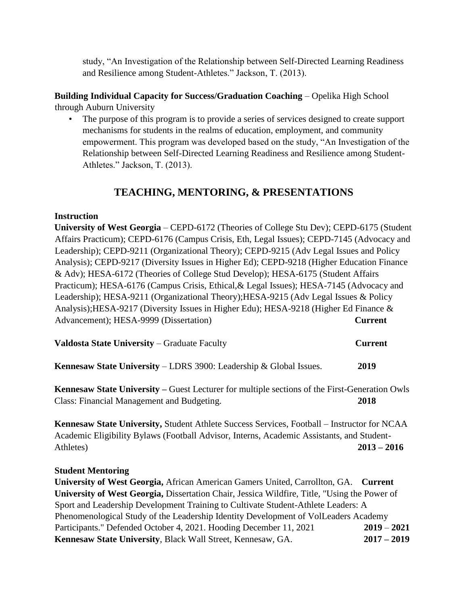study, "An Investigation of the Relationship between Self-Directed Learning Readiness and Resilience among Student-Athletes." Jackson, T. (2013).

**Building Individual Capacity for Success/Graduation Coaching** – Opelika High School through Auburn University

• The purpose of this program is to provide a series of services designed to create support mechanisms for students in the realms of education, employment, and community empowerment. This program was developed based on the study, "An Investigation of the Relationship between Self-Directed Learning Readiness and Resilience among Student-Athletes." Jackson, T. (2013).

# **TEACHING, MENTORING, & PRESENTATIONS**

## **Instruction**

**University of West Georgia** – CEPD-6172 (Theories of College Stu Dev); CEPD-6175 (Student Affairs Practicum); CEPD-6176 (Campus Crisis, Eth, Legal Issues); CEPD-7145 (Advocacy and Leadership); CEPD-9211 (Organizational Theory); CEPD-9215 (Adv Legal Issues and Policy Analysis); CEPD-9217 (Diversity Issues in Higher Ed); CEPD-9218 (Higher Education Finance & Adv); HESA-6172 (Theories of College Stud Develop); HESA-6175 (Student Affairs Practicum); HESA-6176 (Campus Crisis, Ethical,& Legal Issues); HESA-7145 (Advocacy and Leadership); HESA-9211 (Organizational Theory);HESA-9215 (Adv Legal Issues & Policy Analysis);HESA-9217 (Diversity Issues in Higher Edu); HESA-9218 (Higher Ed Finance & Advancement); HESA-9999 (Dissertation) **Current**

| <b>Valdosta State University – Graduate Faculty</b> | Current |
|-----------------------------------------------------|---------|
|-----------------------------------------------------|---------|

**Kennesaw State University** – LDRS 3900: Leadership & Global Issues. **2019** 

**Kennesaw State University –** Guest Lecturer for multiple sections of the First-Generation Owls Class: Financial Management and Budgeting. **2018** 

**Kennesaw State University,** Student Athlete Success Services, Football – Instructor for NCAA Academic Eligibility Bylaws (Football Advisor, Interns, Academic Assistants, and Student-Athletes) **2013 – 2016** 

## **Student Mentoring**

**University of West Georgia,** African American Gamers United, Carrollton, GA. **Current University of West Georgia,** Dissertation Chair, Jessica Wildfire, Title, "Using the Power of Sport and Leadership Development Training to Cultivate Student-Athlete Leaders: A Phenomenological Study of the Leadership Identity Development of VolLeaders Academy Participants." Defended October 4, 2021. Hooding December 11, 2021 **2019** – **2021 Kennesaw State University**, Black Wall Street, Kennesaw, GA. **2017 – 2019**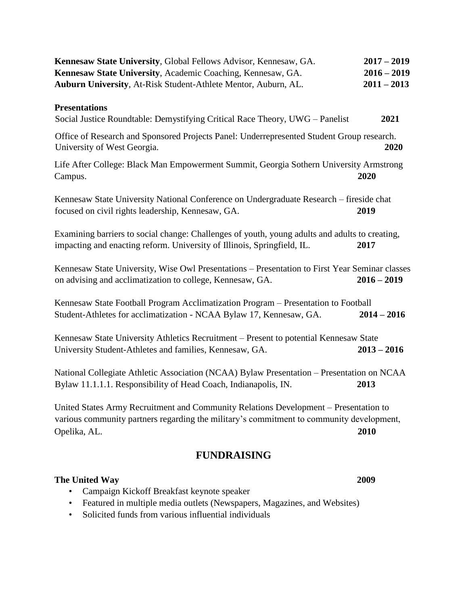| Kennesaw State University, Global Fellows Advisor, Kennesaw, GA.<br>Kennesaw State University, Academic Coaching, Kennesaw, GA.<br>Auburn University, At-Risk Student-Athlete Mentor, Auburn, AL. | $2017 - 2019$<br>$2016 - 2019$<br>$2011 - 2013$ |
|---------------------------------------------------------------------------------------------------------------------------------------------------------------------------------------------------|-------------------------------------------------|
| <b>Presentations</b><br>Social Justice Roundtable: Demystifying Critical Race Theory, UWG - Panelist                                                                                              | 2021                                            |
| Office of Research and Sponsored Projects Panel: Underrepresented Student Group research.<br>University of West Georgia.                                                                          | 2020                                            |
| Life After College: Black Man Empowerment Summit, Georgia Sothern University Armstrong<br>Campus.                                                                                                 | 2020                                            |
| Kennesaw State University National Conference on Undergraduate Research – fireside chat<br>focused on civil rights leadership, Kennesaw, GA.                                                      | 2019                                            |
| Examining barriers to social change: Challenges of youth, young adults and adults to creating,<br>impacting and enacting reform. University of Illinois, Springfield, IL.                         | 2017                                            |
| Kennesaw State University, Wise Owl Presentations - Presentation to First Year Seminar classes<br>on advising and acclimatization to college, Kennesaw, GA.                                       | $2016 - 2019$                                   |
| Kennesaw State Football Program Acclimatization Program – Presentation to Football<br>Student-Athletes for acclimatization - NCAA Bylaw 17, Kennesaw, GA.                                         | $2014 - 2016$                                   |
| Kennesaw State University Athletics Recruitment – Present to potential Kennesaw State<br>University Student-Athletes and families, Kennesaw, GA.                                                  | $2013 - 2016$                                   |
| National Collegiate Athletic Association (NCAA) Bylaw Presentation - Presentation on NCAA<br>Bylaw 11.1.1.1. Responsibility of Head Coach, Indianapolis, IN.                                      | 2013                                            |
| United States Army Recruitment and Community Relations Development - Presentation to<br>various community partners regarding the military's commitment to community development,<br>Opelika, AL.  | 2010                                            |

# **FUNDRAISING**

# **The United Way 2009**

- Campaign Kickoff Breakfast keynote speaker
- Featured in multiple media outlets (Newspapers, Magazines, and Websites)
- Solicited funds from various influential individuals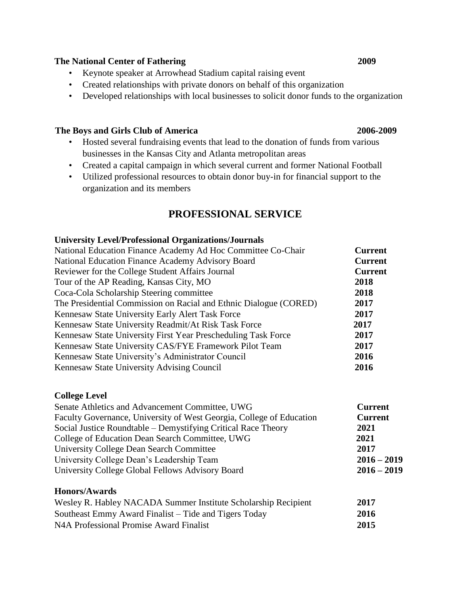### **The National Center of Fathering 2009**

- Keynote speaker at Arrowhead Stadium capital raising event
- Created relationships with private donors on behalf of this organization
- Developed relationships with local businesses to solicit donor funds to the organization

### **The Boys and Girls Club of America 2006-2009**

- Hosted several fundraising events that lead to the donation of funds from various businesses in the Kansas City and Atlanta metropolitan areas
- Created a capital campaign in which several current and former National Football
- Utilized professional resources to obtain donor buy-in for financial support to the organization and its members

# **PROFESSIONAL SERVICE**

### **University Level/Professional Organizations/Journals**

| National Education Finance Academy Ad Hoc Committee Co-Chair      | <b>Current</b> |
|-------------------------------------------------------------------|----------------|
| National Education Finance Academy Advisory Board                 | <b>Current</b> |
| Reviewer for the College Student Affairs Journal                  | <b>Current</b> |
| Tour of the AP Reading, Kansas City, MO                           | 2018           |
| Coca-Cola Scholarship Steering committee                          | 2018           |
| The Presidential Commission on Racial and Ethnic Dialogue (CORED) | 2017           |
| Kennesaw State University Early Alert Task Force                  | 2017           |
| Kennesaw State University Readmit/At Risk Task Force              | 2017           |
| Kennesaw State University First Year Prescheduling Task Force     | 2017           |
| Kennesaw State University CAS/FYE Framework Pilot Team            | 2017           |
| Kennesaw State University's Administrator Council                 | 2016           |
| Kennesaw State University Advising Council                        | 2016           |

### **College Level**

| Senate Athletics and Advancement Committee, UWG                      | <b>Current</b> |
|----------------------------------------------------------------------|----------------|
| Faculty Governance, University of West Georgia, College of Education | <b>Current</b> |
| Social Justice Roundtable – Demystifying Critical Race Theory        | 2021           |
| College of Education Dean Search Committee, UWG                      | 2021           |
| <b>University College Dean Search Committee</b>                      | 2017           |
| University College Dean's Leadership Team                            | $2016 - 2019$  |
| University College Global Fellows Advisory Board                     | $2016 - 2019$  |
| <b>Honors/Awards</b>                                                 |                |

| Wesley R. Habley NACADA Summer Institute Scholarship Recipient | 2017 |
|----------------------------------------------------------------|------|
| Southeast Emmy Award Finalist – Tide and Tigers Today          | 2016 |
| N4A Professional Promise Award Finalist                        | 2015 |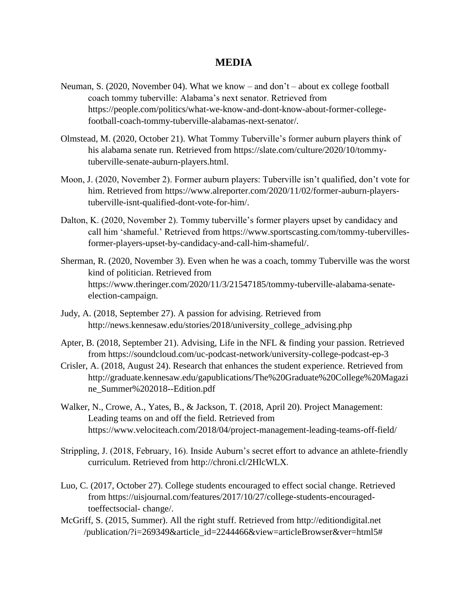## **MEDIA**

- Neuman, S. (2020, November 04). What we know and don't about ex college football coach tommy tuberville: Alabama's next senator. Retrieved from https://people.com/politics/what-we-know-and-dont-know-about-former-collegefootball-coach-tommy-tuberville-alabamas-next-senator/.
- Olmstead, M. (2020, October 21). What Tommy Tuberville's former auburn players think of his alabama senate run. Retrieved from https://slate.com/culture/2020/10/tommytuberville-senate-auburn-players.html.
- Moon, J. (2020, November 2). Former auburn players: Tuberville isn't qualified, don't vote for him. Retrieved from https://www.alreporter.com/2020/11/02/former-auburn-playerstuberville-isnt-qualified-dont-vote-for-him/.
- Dalton, K. (2020, November 2). Tommy tuberville's former players upset by candidacy and call him 'shameful.' Retrieved from https://www.sportscasting.com/tommy-tubervillesformer-players-upset-by-candidacy-and-call-him-shameful/.
- Sherman, R. (2020, November 3). Even when he was a coach, tommy Tuberville was the worst kind of politician. Retrieved from https://www.theringer.com/2020/11/3/21547185/tommy-tuberville-alabama-senateelection-campaign.
- Judy, A. (2018, September 27). A passion for advising. Retrieved from http://news.kennesaw.edu/stories/2018/university\_college\_advising.php
- Apter, B. (2018, September 21). Advising, Life in the NFL & finding your passion. Retrieved from https://soundcloud.com/uc-podcast-network/university-college-podcast-ep-3
- Crisler, A. (2018, August 24). Research that enhances the student experience. Retrieved from [http://graduate.kennesaw.edu/gapublications/The%20Graduate%20College%20Magazi](http://graduate.kennesaw.edu/gapublications/The%20Graduate%20College%20Magazine_Summer%202018--Edition.pdf)  [ne\\_Summer%202018--Edition.pdf](http://graduate.kennesaw.edu/gapublications/The%20Graduate%20College%20Magazine_Summer%202018--Edition.pdf)
- Walker, N., Crowe, A., Yates, B., & Jackson, T. (2018, April 20). Project Management: Leading teams on and off the field. Retrieved from <https://www.velociteach.com/2018/04/project-management-leading-teams-off-field/>
- Strippling, J. (2018, February, 16). Inside Auburn's secret effort to advance an athlete-friendly curriculum. Retrieved from<http://chroni.cl/2HlcWLX>**[.](http://chroni.cl/2HlcWLX)**
- Luo, C. (2017, October 27). College students encouraged to effect social change. Retrieved from [https://uisjournal.com/features/2017/10/27/college-students-encouraged](https://uisjournal.com/features/2017/10/27/college-students-encouraged-to-effect-social-change/)[toeffectsocial-](https://uisjournal.com/features/2017/10/27/college-students-encouraged-to-effect-social-change/) [change/.](https://uisjournal.com/features/2017/10/27/college-students-encouraged-to-effect-social-change/)
- McGriff, S. (2015, Summer). All the right stuff. Retrieved f[rom http://editiondigital.net](http://editiondigital.net/)  /publication/?i=269349&article\_id=2244466&view=articleBrowser&ver=html5#